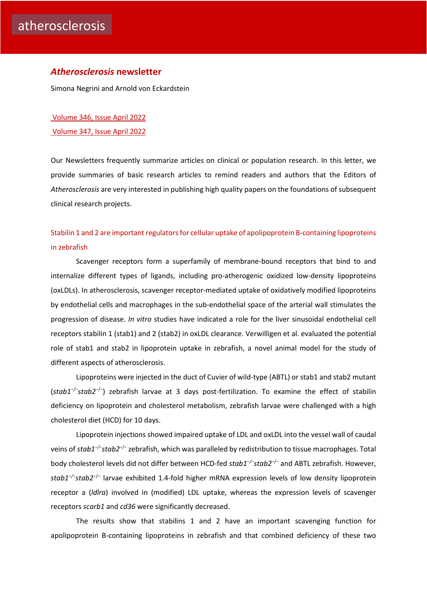#### *Atherosclerosis* **newsletter**

Simona Negrini and Arnold von Eckardstein

[Volume 346, Issue April 2022](https://www.atherosclerosis-journal.com/issue/S0021-9150(22)X0005-1) [Volume 347, Issue April 2022](https://www.atherosclerosis-journal.com/issue/S0021-9150(22)X0006-3)

Our Newsletters frequently summarize articles on clinical or population research. In this letter, we provide summaries of basic research articles to remind readers and authors that the Editors of *Atherosclerosis* are very interested in publishing high quality papers on the foundations of subsequent clinical research projects.

[Stabilin 1 and 2 are important regulators for cellular uptake of apolipoprotein B-containing lipoproteins](https://click.notification.elsevier.com/CL0/https:%2F%2Fwww.atherosclerosis-journal.com%2Farticle%2FS0021-9150(22)00098-3%2Ffulltext%3Fdgcid=raven_jbs_etoc_email/1/0100017fc44e4c46-7eedd4f9-acaa-40f2-a9ae-28e4d63f25ef-000000/k3BuM4g0HMRzgxGxlgpTod52BX48uOhuleDl06x0zes=242)  [in zebrafish](https://click.notification.elsevier.com/CL0/https:%2F%2Fwww.atherosclerosis-journal.com%2Farticle%2FS0021-9150(22)00098-3%2Ffulltext%3Fdgcid=raven_jbs_etoc_email/1/0100017fc44e4c46-7eedd4f9-acaa-40f2-a9ae-28e4d63f25ef-000000/k3BuM4g0HMRzgxGxlgpTod52BX48uOhuleDl06x0zes=242) 

Scavenger receptors form a superfamily of membrane-bound receptors that bind to and internalize different types of ligands, including pro-atherogenic oxidized low-density lipoproteins (oxLDLs). In atherosclerosis, scavenger receptor-mediated uptake of oxidatively modified lipoproteins by endothelial cells and macrophages in the sub-endothelial space of the arterial wall stimulates the progression of disease. *In vitro* studies have indicated a role for the liver sinusoidal endothelial cell receptors stabilin 1 (stab1) and 2 (stab2) in oxLDL clearance. Verwilligen et al. evaluated the potential role of stab1 and stab2 in lipoprotein uptake in zebrafish, a novel animal model for the study of different aspects of atherosclerosis.

Lipoproteins were injected in the duct of Cuvier of wild-type (ABTL) or stab1 and stab2 mutant (*stab1−/−stab2*−/−) zebrafish larvae at 3 days post-fertilization. To examine the effect of stabilin deficiency on lipoprotein and cholesterol metabolism, zebrafish larvae were challenged with a high cholesterol diet (HCD) for 10 days.

Lipoprotein injections showed impaired uptake of LDL and oxLDL into the vessel wall of caudal veins of *stab1−/−stab2*−/− zebrafish, which was paralleled by redistribution to tissue macrophages. Total body cholesterol levels did not differ between HCD-fed *stab1−/−stab2*−/− and ABTL zebrafish. However, *stab1−/−stab2*−/− larvae exhibited 1.4-fold higher mRNA expression levels of low density lipoprotein receptor a (*ldlra*) involved in (modified) LDL uptake, whereas the expression levels of scavenger receptors *scarb1* and *cd36* were significantly decreased.

The results show that stabilins 1 and 2 have an important scavenging function for apolipoprotein B-containing lipoproteins in zebrafish and that combined deficiency of these two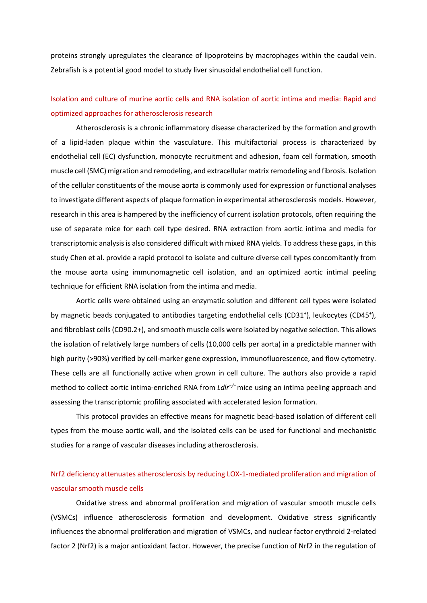proteins strongly upregulates the clearance of lipoproteins by macrophages within the caudal vein. Zebrafish is a potential good model to study liver sinusoidal endothelial cell function.

# [Isolation and culture of murine aortic cells and RNA isolation of aortic intima and media: Rapid and](https://click.notification.elsevier.com/CL0/https:%2F%2Fwww.atherosclerosis-journal.com%2Farticle%2FS0021-9150(22)00132-0%2Ffulltext%3Fdgcid=raven_jbs_etoc_email/1/010001800c0f3184-1a0b5bdf-2cf5-460c-9354-98a2fdb770dd-000000/YEb2aGJ5FKDGdl5lh9RI78JCGqNZQrImYSRtprDXigw=244)  [optimized approaches for atherosclerosis research](https://click.notification.elsevier.com/CL0/https:%2F%2Fwww.atherosclerosis-journal.com%2Farticle%2FS0021-9150(22)00132-0%2Ffulltext%3Fdgcid=raven_jbs_etoc_email/1/010001800c0f3184-1a0b5bdf-2cf5-460c-9354-98a2fdb770dd-000000/YEb2aGJ5FKDGdl5lh9RI78JCGqNZQrImYSRtprDXigw=244)

Atherosclerosis is a chronic inflammatory disease characterized by the formation and growth of a lipid-laden plaque within the vasculature. This multifactorial process is characterized by endothelial cell (EC) dysfunction, monocyte recruitment and adhesion, foam cell formation, smooth muscle cell (SMC) migration and remodeling, and extracellular matrix remodeling and fibrosis. Isolation of the cellular constituents of the mouse aorta is commonly used for expression or functional analyses to investigate different aspects of plaque formation in experimental atherosclerosis models. However, research in this area is hampered by the inefficiency of current isolation protocols, often requiring the use of separate mice for each cell type desired. RNA extraction from aortic intima and media for transcriptomic analysis is also considered difficult with mixed RNA yields. To address these gaps, in this study Chen et al. provide a rapid protocol to isolate and culture diverse cell types concomitantly from the mouse aorta using immunomagnetic cell isolation, and an optimized aortic intimal peeling technique for efficient RNA isolation from the intima and media.

Aortic cells were obtained using an enzymatic solution and different cell types were isolated by magnetic beads conjugated to antibodies targeting endothelial cells (CD31<sup>+</sup>), leukocytes (CD45<sup>+</sup>), and fibroblast cells (CD90.2+), and smooth muscle cells were isolated by negative selection. This allows the isolation of relatively large numbers of cells (10,000 cells per aorta) in a predictable manner with high purity (>90%) verified by cell-marker gene expression, immunofluorescence, and flow cytometry. These cells are all functionally active when grown in cell culture. The authors also provide a rapid method to collect aortic intima-enriched RNA from *Ldlr−/−*mice using an intima peeling approach and assessing the transcriptomic profiling associated with accelerated lesion formation.

This protocol provides an effective means for magnetic bead-based isolation of different cell types from the mouse aortic wall, and the isolated cells can be used for functional and mechanistic studies for a range of vascular diseases including atherosclerosis.

### [Nrf2 deficiency attenuates atherosclerosis by reducing LOX-1-mediated proliferation and migration of](https://click.notification.elsevier.com/CL0/https:%2F%2Fwww.atherosclerosis-journal.com%2Farticle%2FS0021-9150(22)00108-3%2Ffulltext%3Fdgcid=raven_jbs_etoc_email/1/010001800c0f3184-1a0b5bdf-2cf5-460c-9354-98a2fdb770dd-000000/YAj2_0q5XUUIY-Dzoj3MdttIjz0XpTqyfy8IJtpo_Rg=244)  [vascular smooth muscle cells](https://click.notification.elsevier.com/CL0/https:%2F%2Fwww.atherosclerosis-journal.com%2Farticle%2FS0021-9150(22)00108-3%2Ffulltext%3Fdgcid=raven_jbs_etoc_email/1/010001800c0f3184-1a0b5bdf-2cf5-460c-9354-98a2fdb770dd-000000/YAj2_0q5XUUIY-Dzoj3MdttIjz0XpTqyfy8IJtpo_Rg=244)

Oxidative stress and abnormal proliferation and migration of vascular smooth muscle cells (VSMCs) influence atherosclerosis formation and development. Oxidative stress significantly influences the abnormal proliferation and migration of VSMCs, and nuclear factor erythroid 2-related factor 2 (Nrf2) is a major antioxidant factor. However, the precise function of Nrf2 in the regulation of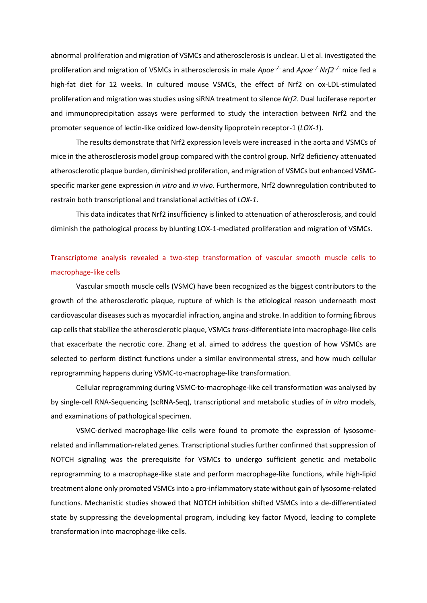abnormal proliferation and migration of VSMCs and atherosclerosis is unclear. Li et al. investigated the proliferation and migration of VSMCs in atherosclerosis in male *Apoe−/−* and *Apoe−/−Nrf2−/−* mice fed a high-fat diet for 12 weeks. In cultured mouse VSMCs, the effect of Nrf2 on ox-LDL-stimulated proliferation and migration was studies using siRNA treatment to silence *Nrf2*. Dual luciferase reporter and immunoprecipitation assays were performed to study the interaction between Nrf2 and the promoter sequence of lectin-like oxidized low-density lipoprotein receptor-1 (*LOX-1*).

The results demonstrate that Nrf2 expression levels were increased in the aorta and VSMCs of mice in the atherosclerosis model group compared with the control group. Nrf2 deficiency attenuated atherosclerotic plaque burden, diminished proliferation, and migration of VSMCs but enhanced VSMCspecific marker gene expression *in vitro* and *in vivo*. Furthermore, Nrf2 downregulation contributed to restrain both transcriptional and translational activities of *LOX-1*.

This data indicates that Nrf2 insufficiency is linked to attenuation of atherosclerosis, and could diminish the pathological process by blunting LOX-1-mediated proliferation and migration of VSMCs.

# [Transcriptome analysis revealed a two-step transformation of vascular smooth muscle cells to](https://click.notification.elsevier.com/CL0/https:%2F%2Fwww.atherosclerosis-journal.com%2Farticle%2FS0021-9150(22)00101-0%2Ffulltext%3Fdgcid=raven_jbs_etoc_email/1/0100017fc44e4c46-7eedd4f9-acaa-40f2-a9ae-28e4d63f25ef-000000/HYbHUoYEaelQtDAgnwAsKwqGdcN7ZFjFQKbRbt5wFTk=242)  [macrophage-like cells](https://click.notification.elsevier.com/CL0/https:%2F%2Fwww.atherosclerosis-journal.com%2Farticle%2FS0021-9150(22)00101-0%2Ffulltext%3Fdgcid=raven_jbs_etoc_email/1/0100017fc44e4c46-7eedd4f9-acaa-40f2-a9ae-28e4d63f25ef-000000/HYbHUoYEaelQtDAgnwAsKwqGdcN7ZFjFQKbRbt5wFTk=242)

Vascular smooth muscle cells (VSMC) have been recognized as the biggest contributors to the growth of the atherosclerotic plaque, rupture of which is the etiological reason underneath most cardiovascular diseases such as myocardial infraction, angina and stroke. In addition to forming fibrous cap cells that stabilize the atherosclerotic plaque, VSMCs *trans*-differentiate into macrophage-like cells that exacerbate the necrotic core. Zhang et al. aimed to address the question of how VSMCs are selected to perform distinct functions under a similar environmental stress, and how much cellular reprogramming happens during VSMC-to-macrophage-like transformation.

Cellular reprogramming during VSMC-to-macrophage-like cell transformation was analysed by by single-cell RNA-Sequencing (scRNA-Seq), transcriptional and metabolic studies of *in vitro* models, and examinations of pathological specimen.

VSMC-derived macrophage-like cells were found to promote the expression of lysosomerelated and inflammation-related genes. Transcriptional studies further confirmed that suppression of NOTCH signaling was the prerequisite for VSMCs to undergo sufficient genetic and metabolic reprogramming to a macrophage-like state and perform macrophage-like functions, while high-lipid treatment alone only promoted VSMCs into a pro-inflammatory state without gain of lysosome-related functions. Mechanistic studies showed that NOTCH inhibition shifted VSMCs into a de-differentiated state by suppressing the developmental program, including key factor Myocd, leading to complete transformation into macrophage-like cells.